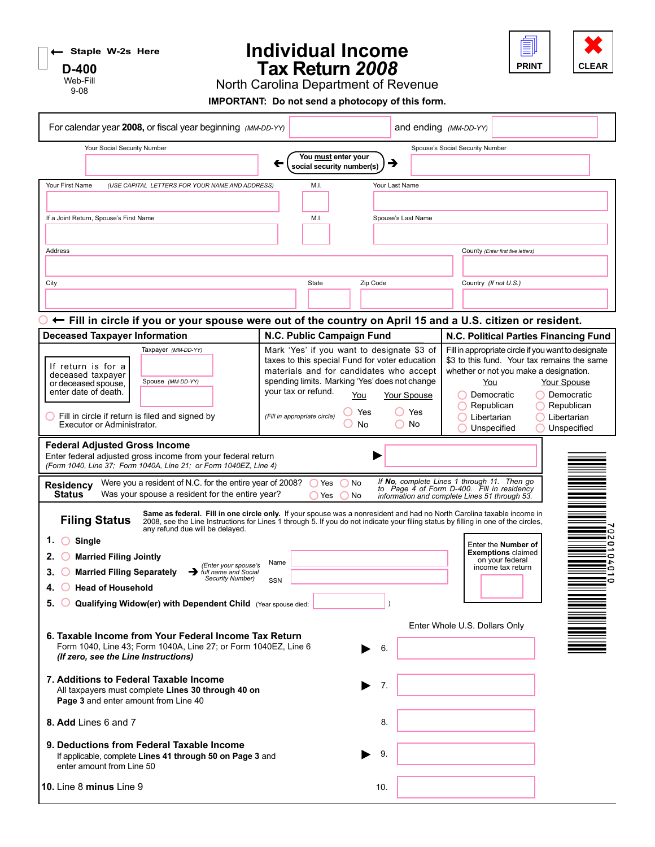|  | $\bigcap$ $\leftarrow$ Staple W-2s Here |  |
|--|-----------------------------------------|--|
|  |                                         |  |

**D-400** Web-Fill 9-08

## **Individual Income Tax Return** *2008*



North Carolina Department of Revenue

**IMPORTANT: Do not send a photocopy of this form.**

| For calendar year 2008, or fiscal year beginning (MM-DD-YY)                                                                                                                                                                                                                                                                                                                                                                                                                                                                                                                   |                                                                                                                                                                                                                                                  |                                                  |                                                                                                                                            | and ending (MM-DD-YY)           |                                                                                                         |                                                                                                                                                                                       |
|-------------------------------------------------------------------------------------------------------------------------------------------------------------------------------------------------------------------------------------------------------------------------------------------------------------------------------------------------------------------------------------------------------------------------------------------------------------------------------------------------------------------------------------------------------------------------------|--------------------------------------------------------------------------------------------------------------------------------------------------------------------------------------------------------------------------------------------------|--------------------------------------------------|--------------------------------------------------------------------------------------------------------------------------------------------|---------------------------------|---------------------------------------------------------------------------------------------------------|---------------------------------------------------------------------------------------------------------------------------------------------------------------------------------------|
| Your Social Security Number                                                                                                                                                                                                                                                                                                                                                                                                                                                                                                                                                   |                                                                                                                                                                                                                                                  | You must enter your<br>social security number(s) | →                                                                                                                                          | Spouse's Social Security Number |                                                                                                         |                                                                                                                                                                                       |
| (USE CAPITAL LETTERS FOR YOUR NAME AND ADDRESS)<br>Your First Name                                                                                                                                                                                                                                                                                                                                                                                                                                                                                                            | M.I.                                                                                                                                                                                                                                             |                                                  | Your Last Name                                                                                                                             |                                 |                                                                                                         |                                                                                                                                                                                       |
| If a Joint Return, Spouse's First Name                                                                                                                                                                                                                                                                                                                                                                                                                                                                                                                                        | M.I.                                                                                                                                                                                                                                             |                                                  | Spouse's Last Name                                                                                                                         |                                 |                                                                                                         |                                                                                                                                                                                       |
| Address                                                                                                                                                                                                                                                                                                                                                                                                                                                                                                                                                                       |                                                                                                                                                                                                                                                  |                                                  |                                                                                                                                            |                                 | County (Enter first five letters)                                                                       |                                                                                                                                                                                       |
| City                                                                                                                                                                                                                                                                                                                                                                                                                                                                                                                                                                          | State                                                                                                                                                                                                                                            | Zip Code                                         |                                                                                                                                            |                                 | Country (If not U.S.)                                                                                   |                                                                                                                                                                                       |
|                                                                                                                                                                                                                                                                                                                                                                                                                                                                                                                                                                               |                                                                                                                                                                                                                                                  |                                                  |                                                                                                                                            |                                 |                                                                                                         |                                                                                                                                                                                       |
| ← Fill in circle if you or your spouse were out of the country on April 15 and a U.S. citizen or resident.<br><b>Deceased Taxpayer Information</b>                                                                                                                                                                                                                                                                                                                                                                                                                            | N.C. Public Campaign Fund                                                                                                                                                                                                                        |                                                  |                                                                                                                                            |                                 |                                                                                                         | N.C. Political Parties Financing Fund                                                                                                                                                 |
| Taxpayer (MM-DD-YY)<br>If return is for a<br>deceased taxpayer<br>Spouse (MM-DD-YY)<br>or deceased spouse.<br>enter date of death.<br>Fill in circle if return is filed and signed by<br>Executor or Administrator.                                                                                                                                                                                                                                                                                                                                                           | Mark 'Yes' if you want to designate \$3 of<br>taxes to this special Fund for voter education<br>materials and for candidates who accept<br>spending limits. Marking 'Yes' does not change<br>your tax or refund.<br>(Fill in appropriate circle) | You<br>Yes<br>No                                 | Your Spouse<br>() Yes<br>$\bigcirc$ No                                                                                                     |                                 | whether or not you make a designation.<br>You<br>Democratic<br>Republican<br>Libertarian<br>Unspecified | Fill in appropriate circle if you want to designate<br>\$3 to this fund. Your tax remains the same<br>Your Spouse<br>Democratic<br>$\bigcap$ Republican<br>Libertarian<br>Unspecified |
| Enter federal adjusted gross income from your federal return<br>(Form 1040, Line 37; Form 1040A, Line 21; or Form 1040EZ, Line 4)<br>Were you a resident of N.C. for the entire year of 2008?<br><b>Residency</b><br><b>Status</b><br>Was your spouse a resident for the entire year?<br>Same as federal. Fill in one circle only. If your spouse was a nonresident and had no North Carolina taxable income in<br><b>Filing Status</b><br>2008, see the Line Instructions for Lines 1 through 5. If you do not indicate your filing status by filling in one of the circles, | $\bigcap$ Yes<br>Yes                                                                                                                                                                                                                             | $\bigcap$<br>No<br>No<br>C                       | If No, complete Lines 1 through 11. Then go<br>to Page 4 of Form D-400. Fill in residency<br>information and complete Lines 51 through 53. |                                 |                                                                                                         |                                                                                                                                                                                       |
| any refund due will be delayed.<br>1.<br>Single<br><b>Married Filing Jointly</b><br>2.<br>(Enter your spouse's<br><b>Married Filing Separately</b><br>A full name and Social<br><b>Security Number)</b><br>$\left( \quad \right)$<br><b>Head of Household</b><br>5. O<br>Qualifying Widow(er) with Dependent Child (Year spouse died:                                                                                                                                                                                                                                         | Name<br>SSN                                                                                                                                                                                                                                      |                                                  |                                                                                                                                            |                                 | Enter the <b>Number of</b><br><b>Exemptions</b> claimed<br>on your federal<br>income tax return         | io<br>iN<br>0<br>$\bullet$<br>- 1<br>$\bullet$<br>$\bullet$                                                                                                                           |
| 6. Taxable Income from Your Federal Income Tax Return<br>Form 1040, Line 43; Form 1040A, Line 27; or Form 1040EZ, Line 6<br>(If zero, see the Line Instructions)                                                                                                                                                                                                                                                                                                                                                                                                              |                                                                                                                                                                                                                                                  | 6.                                               |                                                                                                                                            | Enter Whole U.S. Dollars Only   |                                                                                                         |                                                                                                                                                                                       |
| 7. Additions to Federal Taxable Income<br>All taxpayers must complete Lines 30 through 40 on<br>Page 3 and enter amount from Line 40                                                                                                                                                                                                                                                                                                                                                                                                                                          |                                                                                                                                                                                                                                                  | 7.                                               |                                                                                                                                            |                                 |                                                                                                         |                                                                                                                                                                                       |
| 8. Add Lines 6 and 7                                                                                                                                                                                                                                                                                                                                                                                                                                                                                                                                                          |                                                                                                                                                                                                                                                  | 8.                                               |                                                                                                                                            |                                 |                                                                                                         |                                                                                                                                                                                       |
| 9. Deductions from Federal Taxable Income<br>If applicable, complete Lines 41 through 50 on Page 3 and<br>enter amount from Line 50                                                                                                                                                                                                                                                                                                                                                                                                                                           |                                                                                                                                                                                                                                                  | 9.                                               |                                                                                                                                            |                                 |                                                                                                         |                                                                                                                                                                                       |
| 10. Line 8 minus Line 9                                                                                                                                                                                                                                                                                                                                                                                                                                                                                                                                                       |                                                                                                                                                                                                                                                  | 10.                                              |                                                                                                                                            |                                 |                                                                                                         |                                                                                                                                                                                       |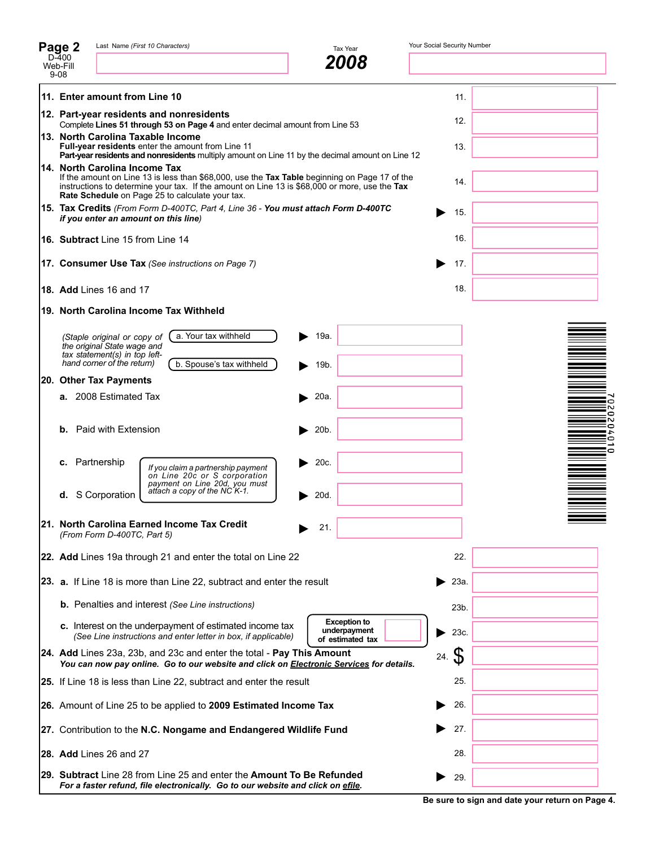| Page 2                                                           |                                                                                                                                                                                                                                                                                    | Last Name (First 10 Characters)                                                                                                                                         | Tax Year                                                | Your Social Security Number |                                  |
|------------------------------------------------------------------|------------------------------------------------------------------------------------------------------------------------------------------------------------------------------------------------------------------------------------------------------------------------------------|-------------------------------------------------------------------------------------------------------------------------------------------------------------------------|---------------------------------------------------------|-----------------------------|----------------------------------|
| $D-400$<br>Web-Fill<br>$9 - 08$                                  |                                                                                                                                                                                                                                                                                    |                                                                                                                                                                         | 2008                                                    |                             |                                  |
|                                                                  | 11. Enter amount from Line 10                                                                                                                                                                                                                                                      |                                                                                                                                                                         |                                                         | 11.                         |                                  |
|                                                                  | 12. Part-year residents and nonresidents                                                                                                                                                                                                                                           | 12.                                                                                                                                                                     |                                                         |                             |                                  |
|                                                                  | Complete Lines 51 through 53 on Page 4 and enter decimal amount from Line 53<br>13. North Carolina Taxable Income<br>Full-year residents enter the amount from Line 11<br>Part-year residents and nonresidents multiply amount on Line 11 by the decimal amount on Line 12         | 13.                                                                                                                                                                     |                                                         |                             |                                  |
|                                                                  | 14. North Carolina Income Tax<br>If the amount on Line 13 is less than \$68,000, use the Tax Table beginning on Page 17 of the<br>instructions to determine your tax. If the amount on Line 13 is \$68,000 or more, use the Tax<br>Rate Schedule on Page 25 to calculate your tax. | 14.                                                                                                                                                                     |                                                         |                             |                                  |
|                                                                  |                                                                                                                                                                                                                                                                                    | 15. Tax Credits (From Form D-400TC, Part 4, Line 36 - You must attach Form D-400TC<br>if you enter an amount on this line)                                              |                                                         | 15.                         |                                  |
|                                                                  | 16. Subtract Line 15 from Line 14                                                                                                                                                                                                                                                  |                                                                                                                                                                         |                                                         | 16.                         |                                  |
|                                                                  |                                                                                                                                                                                                                                                                                    | 17. Consumer Use Tax (See instructions on Page 7)                                                                                                                       |                                                         | 17.                         |                                  |
|                                                                  | <b>18. Add Lines 16 and 17</b>                                                                                                                                                                                                                                                     |                                                                                                                                                                         |                                                         | 18.                         |                                  |
|                                                                  |                                                                                                                                                                                                                                                                                    | 19. North Carolina Income Tax Withheld                                                                                                                                  |                                                         |                             |                                  |
|                                                                  | (Staple original or copy of<br>the original State wage and<br>tax statement(s) in top left-<br>hand corner of the return)                                                                                                                                                          | a. Your tax withheld<br>b. Spouse's tax withheld                                                                                                                        | 19a.<br>19b.                                            |                             |                                  |
| 20. Other Tax Payments                                           |                                                                                                                                                                                                                                                                                    |                                                                                                                                                                         |                                                         |                             |                                  |
|                                                                  | a. 2008 Estimated Tax                                                                                                                                                                                                                                                              |                                                                                                                                                                         | 20a.                                                    |                             | c<br>N                           |
|                                                                  | <b>b.</b> Paid with Extension                                                                                                                                                                                                                                                      |                                                                                                                                                                         | 20b.                                                    |                             | 0<br>iN.<br>$\circ$<br>$\bullet$ |
| c.                                                               | Partnership                                                                                                                                                                                                                                                                        | If you claim a partnership payment<br>on Line 20c or S corporation<br>payment on Line 20d, you must                                                                     | 20c.                                                    |                             | o                                |
| d.                                                               | S Corporation                                                                                                                                                                                                                                                                      | attach a copy of the NC K-1.                                                                                                                                            | 20d.                                                    |                             |                                  |
|                                                                  | (From Form D-400TC, Part 5)                                                                                                                                                                                                                                                        | 21. North Carolina Earned Income Tax Credit                                                                                                                             | 21.                                                     |                             |                                  |
|                                                                  |                                                                                                                                                                                                                                                                                    | 22. Add Lines 19a through 21 and enter the total on Line 22                                                                                                             |                                                         | 22.                         |                                  |
|                                                                  |                                                                                                                                                                                                                                                                                    | 23. a. If Line 18 is more than Line 22, subtract and enter the result                                                                                                   |                                                         | 23a.                        |                                  |
|                                                                  |                                                                                                                                                                                                                                                                                    | <b>b.</b> Penalties and interest (See Line instructions)                                                                                                                |                                                         | 23b.                        |                                  |
|                                                                  |                                                                                                                                                                                                                                                                                    | c. Interest on the underpayment of estimated income tax<br>(See Line instructions and enter letter in box, if applicable)                                               | <b>Exception to</b><br>underpayment<br>of estimated tax | 23c.                        |                                  |
|                                                                  |                                                                                                                                                                                                                                                                                    | 24. Add Lines 23a, 23b, and 23c and enter the total - Pay This Amount<br>You can now pay online. Go to our website and click on <b>Electronic Services</b> for details. |                                                         | 24. S                       |                                  |
|                                                                  |                                                                                                                                                                                                                                                                                    | 25. If Line 18 is less than Line 22, subtract and enter the result                                                                                                      |                                                         | 25.                         |                                  |
| 26. Amount of Line 25 to be applied to 2009 Estimated Income Tax |                                                                                                                                                                                                                                                                                    |                                                                                                                                                                         | 26.                                                     |                             |                                  |
|                                                                  |                                                                                                                                                                                                                                                                                    | 27. Contribution to the N.C. Nongame and Endangered Wildlife Fund                                                                                                       |                                                         | 27.                         |                                  |
|                                                                  | 28. Add Lines 26 and 27                                                                                                                                                                                                                                                            |                                                                                                                                                                         |                                                         | 28.                         |                                  |
|                                                                  |                                                                                                                                                                                                                                                                                    | 29. Subtract Line 28 from Line 25 and enter the Amount To Be Refunded<br>For a faster refund, file electronically. Go to our website and click on efile.                |                                                         | 29.                         |                                  |

**Be sure to sign and date your return on Page 4.**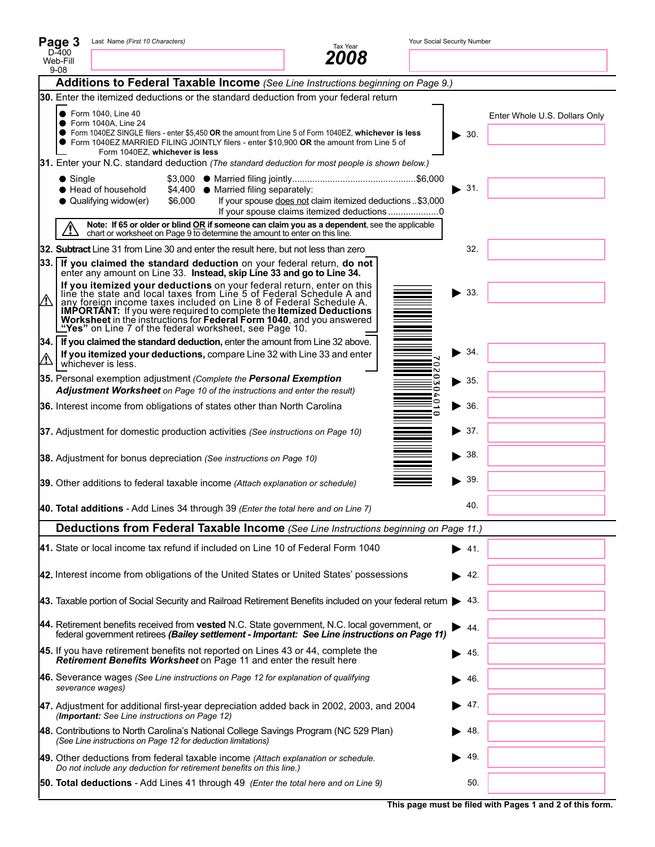|                                                                                       | Page 3                                                                                          | Last Name (First 10 Characters)                                                                                                                 |         |                                      | Tax Year                                                                                                                                                                                                                                                                                                                                                                                               |                       | Your Social Security Number |                               |  |  |
|---------------------------------------------------------------------------------------|-------------------------------------------------------------------------------------------------|-------------------------------------------------------------------------------------------------------------------------------------------------|---------|--------------------------------------|--------------------------------------------------------------------------------------------------------------------------------------------------------------------------------------------------------------------------------------------------------------------------------------------------------------------------------------------------------------------------------------------------------|-----------------------|-----------------------------|-------------------------------|--|--|
| D-400<br>Web-Fill<br>$9 - 08$                                                         |                                                                                                 |                                                                                                                                                 |         |                                      |                                                                                                                                                                                                                                                                                                                                                                                                        |                       |                             |                               |  |  |
|                                                                                       | Additions to Federal Taxable Income (See Line Instructions beginning on Page 9.)                |                                                                                                                                                 |         |                                      |                                                                                                                                                                                                                                                                                                                                                                                                        |                       |                             |                               |  |  |
|                                                                                       | 30. Enter the itemized deductions or the standard deduction from your federal return            |                                                                                                                                                 |         |                                      |                                                                                                                                                                                                                                                                                                                                                                                                        |                       |                             |                               |  |  |
|                                                                                       |                                                                                                 | ● Form 1040, Line 40<br>● Form 1040A, Line 24<br>Form 1040EZ. whichever is less                                                                 |         |                                      | ● Form 1040EZ SINGLE filers - enter \$5,450 OR the amount from Line 5 of Form 1040EZ, whichever is less<br>● Form 1040EZ MARRIED FILING JOINTLY filers - enter \$10,900 OR the amount from Line 5 of                                                                                                                                                                                                   |                       | $\blacktriangleright$ 30.   | Enter Whole U.S. Dollars Only |  |  |
|                                                                                       | 31. Enter your N.C. standard deduction (The standard deduction for most people is shown below.) |                                                                                                                                                 |         |                                      |                                                                                                                                                                                                                                                                                                                                                                                                        |                       |                             |                               |  |  |
|                                                                                       | $\bullet$ Single                                                                                | Head of household<br>• Qualifying widow(er)                                                                                                     | \$6,000 | \$4,400 ● Married filing separately: | If your spouse does not claim itemized deductions \$3,000                                                                                                                                                                                                                                                                                                                                              |                       | 31.                         |                               |  |  |
|                                                                                       |                                                                                                 |                                                                                                                                                 |         |                                      | Note: If 65 or older or blind OR if someone can claim you as a dependent, see the applicable chart or worksheet on Page 9 to determine the amount to enter on this line.                                                                                                                                                                                                                               |                       |                             |                               |  |  |
|                                                                                       |                                                                                                 |                                                                                                                                                 |         |                                      | 32. Subtract Line 31 from Line 30 and enter the result here, but not less than zero                                                                                                                                                                                                                                                                                                                    |                       | 32.                         |                               |  |  |
|                                                                                       |                                                                                                 | enter any amount on Line 33. Instead, skip Line 33 and go to Line 34.                                                                           |         |                                      | 33. If you claimed the standard deduction on your federal return, do not                                                                                                                                                                                                                                                                                                                               |                       |                             |                               |  |  |
| $\bigwedge$                                                                           |                                                                                                 |                                                                                                                                                 |         |                                      | If you itemized your deductions on your federal return, enter on this line the state and local taxes from Line 5 of Federal Schedule A and<br>any foreign income taxes included on Line 8 of Federal Schedule A.<br><b>IMPORTANT:</b> If you were required to complete the <b>Itemized Deductions</b><br><b>Worksheet</b> in the instructions for <b>Federal Form 1040</b> , and you answered<br>"Yes" |                       | 33.                         |                               |  |  |
|                                                                                       |                                                                                                 |                                                                                                                                                 |         |                                      | 34. If you claimed the standard deduction, enter the amount from Line 32 above.                                                                                                                                                                                                                                                                                                                        |                       |                             |                               |  |  |
|                                                                                       |                                                                                                 | whichever is less.                                                                                                                              |         |                                      | If you itemized your deductions, compare Line 32 with Line 33 and enter                                                                                                                                                                                                                                                                                                                                | c                     | 34.                         |                               |  |  |
|                                                                                       |                                                                                                 | 35. Personal exemption adjustment (Complete the Personal Exemption<br>Adjustment Worksheet on Page 10 of the instructions and enter the result) |         |                                      |                                                                                                                                                                                                                                                                                                                                                                                                        | o<br>w<br>0<br>÷<br>0 | $\blacktriangleright$ 35.   |                               |  |  |
|                                                                                       |                                                                                                 | 36. Interest income from obligations of states other than North Carolina                                                                        |         |                                      |                                                                                                                                                                                                                                                                                                                                                                                                        |                       | $\blacktriangleright$ 36.   |                               |  |  |
|                                                                                       |                                                                                                 | 37. Adjustment for domestic production activities (See instructions on Page 10)                                                                 |         |                                      |                                                                                                                                                                                                                                                                                                                                                                                                        |                       | $\blacktriangleright$ 37.   |                               |  |  |
|                                                                                       |                                                                                                 | 38. Adjustment for bonus depreciation (See instructions on Page 10)                                                                             |         |                                      |                                                                                                                                                                                                                                                                                                                                                                                                        |                       | $\blacktriangleright$ 38.   |                               |  |  |
| 39.<br>39. Other additions to federal taxable income (Attach explanation or schedule) |                                                                                                 |                                                                                                                                                 |         |                                      |                                                                                                                                                                                                                                                                                                                                                                                                        |                       |                             |                               |  |  |
|                                                                                       | 40. Total additions - Add Lines 34 through 39 (Enter the total here and on Line 7)              |                                                                                                                                                 |         |                                      | 40.                                                                                                                                                                                                                                                                                                                                                                                                    |                       |                             |                               |  |  |
|                                                                                       | Deductions from Federal Taxable Income (See Line Instructions beginning on Page 11.)            |                                                                                                                                                 |         |                                      |                                                                                                                                                                                                                                                                                                                                                                                                        |                       |                             |                               |  |  |
|                                                                                       |                                                                                                 |                                                                                                                                                 |         |                                      | 41. State or local income tax refund if included on Line 10 of Federal Form 1040                                                                                                                                                                                                                                                                                                                       |                       | -41.                        |                               |  |  |
|                                                                                       |                                                                                                 |                                                                                                                                                 |         |                                      | 42. Interest income from obligations of the United States or United States' possessions                                                                                                                                                                                                                                                                                                                |                       | 42.<br>▶                    |                               |  |  |
|                                                                                       |                                                                                                 |                                                                                                                                                 |         |                                      | 43. Taxable portion of Social Security and Railroad Retirement Benefits included on your federal return                                                                                                                                                                                                                                                                                                |                       | 43.                         |                               |  |  |
|                                                                                       |                                                                                                 |                                                                                                                                                 |         |                                      | 44. Retirement benefits received from vested N.C. State government, N.C. local government, or<br>federal government retirees (Bailey settlement - Important: See Line instructions on Page 11)                                                                                                                                                                                                         |                       | 44.                         |                               |  |  |
|                                                                                       |                                                                                                 | Retirement Benefits Worksheet on Page 11 and enter the result here                                                                              |         |                                      | 45. If you have retirement benefits not reported on Lines 43 or 44, complete the                                                                                                                                                                                                                                                                                                                       |                       | 45.                         |                               |  |  |
|                                                                                       |                                                                                                 | severance wages)                                                                                                                                |         |                                      | 46. Severance wages (See Line instructions on Page 12 for explanation of qualifying                                                                                                                                                                                                                                                                                                                    |                       | 46.                         |                               |  |  |
|                                                                                       |                                                                                                 | (Important: See Line instructions on Page 12)                                                                                                   |         |                                      | 47. Adjustment for additional first-year depreciation added back in 2002, 2003, and 2004                                                                                                                                                                                                                                                                                                               |                       | 47.                         |                               |  |  |
|                                                                                       |                                                                                                 | (See Line instructions on Page 12 for deduction limitations)                                                                                    |         |                                      | 48. Contributions to North Carolina's National College Savings Program (NC 529 Plan)                                                                                                                                                                                                                                                                                                                   |                       | 48.                         |                               |  |  |
|                                                                                       |                                                                                                 | Do not include any deduction for retirement benefits on this line.)                                                                             |         |                                      | 49. Other deductions from federal taxable income (Attach explanation or schedule.                                                                                                                                                                                                                                                                                                                      |                       | 49.                         |                               |  |  |
|                                                                                       |                                                                                                 |                                                                                                                                                 |         |                                      | <b>50. Total deductions</b> - Add Lines 41 through 49 (Enter the total here and on Line 9)                                                                                                                                                                                                                                                                                                             |                       | 50.                         |                               |  |  |

 $\mathbf{r}$